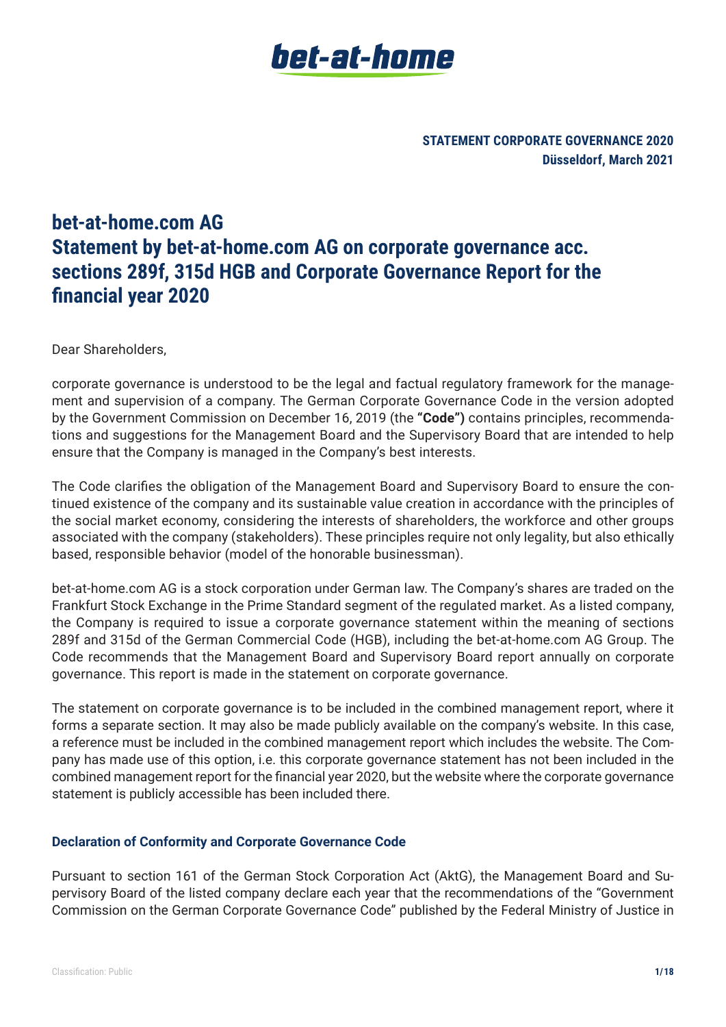**STATEMENT CORPORATE GOVERNANCE 2020 Düsseldorf, March 2021**

# **bet-at-home.com AG Statement by bet-at-home.com AG on corporate governance acc. sections 289f, 315d HGB and Corporate Governance Report for the financial year 2020**

Dear Shareholders,

corporate governance is understood to be the legal and factual regulatory framework for the management and supervision of a company. The German Corporate Governance Code in the version adopted by the Government Commission on December 16, 2019 (the **"Code")** contains principles, recommendations and suggestions for the Management Board and the Supervisory Board that are intended to help ensure that the Company is managed in the Company's best interests.

The Code clarifies the obligation of the Management Board and Supervisory Board to ensure the continued existence of the company and its sustainable value creation in accordance with the principles of the social market economy, considering the interests of shareholders, the workforce and other groups associated with the company (stakeholders). These principles require not only legality, but also ethically based, responsible behavior (model of the honorable businessman).

bet-at-home.com AG is a stock corporation under German law. The Company's shares are traded on the Frankfurt Stock Exchange in the Prime Standard segment of the regulated market. As a listed company, the Company is required to issue a corporate governance statement within the meaning of sections 289f and 315d of the German Commercial Code (HGB), including the bet-at-home.com AG Group. The Code recommends that the Management Board and Supervisory Board report annually on corporate governance. This report is made in the statement on corporate governance.

The statement on corporate governance is to be included in the combined management report, where it forms a separate section. It may also be made publicly available on the company's website. In this case, a reference must be included in the combined management report which includes the website. The Company has made use of this option, i.e. this corporate governance statement has not been included in the combined management report for the financial year 2020, but the website where the corporate governance statement is publicly accessible has been included there.

#### **Declaration of Conformity and Corporate Governance Code**

Pursuant to section 161 of the German Stock Corporation Act (AktG), the Management Board and Supervisory Board of the listed company declare each year that the recommendations of the "Government Commission on the German Corporate Governance Code" published by the Federal Ministry of Justice in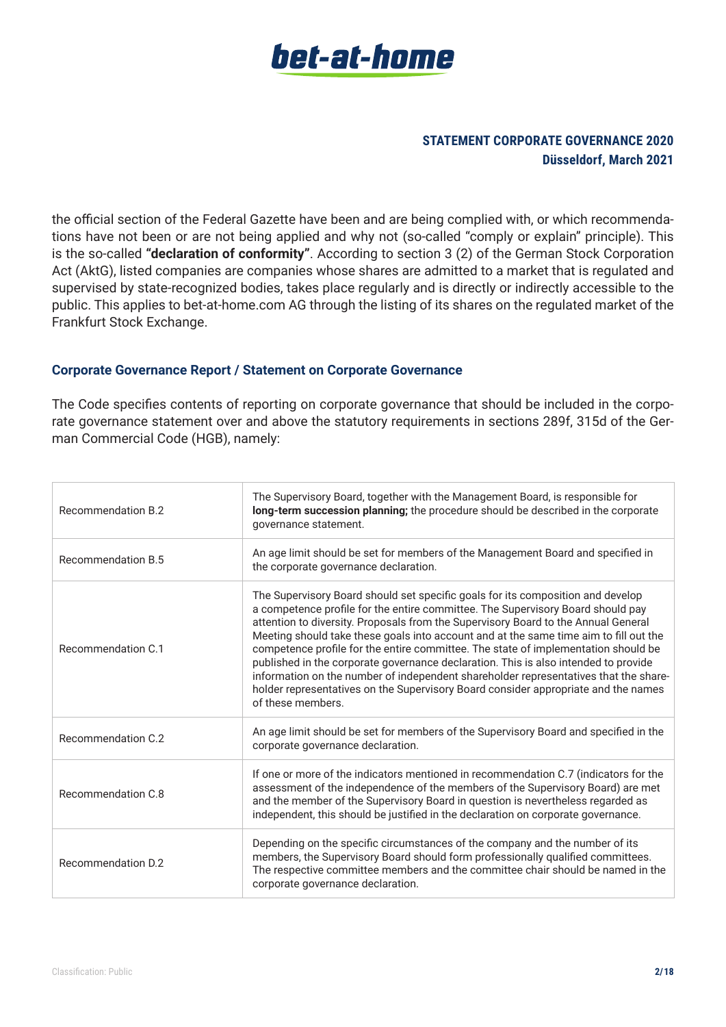

the official section of the Federal Gazette have been and are being complied with, or which recommendations have not been or are not being applied and why not (so-called "comply or explain" principle). This is the so-called **"declaration of conformity"**. According to section 3 (2) of the German Stock Corporation Act (AktG), listed companies are companies whose shares are admitted to a market that is regulated and supervised by state-recognized bodies, takes place regularly and is directly or indirectly accessible to the public. This applies to bet-at-home.com AG through the listing of its shares on the regulated market of the Frankfurt Stock Exchange.

#### **Corporate Governance Report / Statement on Corporate Governance**

The Code specifies contents of reporting on corporate governance that should be included in the corporate governance statement over and above the statutory requirements in sections 289f, 315d of the German Commercial Code (HGB), namely:

| Recommendation B.2 | The Supervisory Board, together with the Management Board, is responsible for<br>long-term succession planning; the procedure should be described in the corporate<br>governance statement.                                                                                                                                                                                                                                                                                                                                                                                                                                                                                                                                       |
|--------------------|-----------------------------------------------------------------------------------------------------------------------------------------------------------------------------------------------------------------------------------------------------------------------------------------------------------------------------------------------------------------------------------------------------------------------------------------------------------------------------------------------------------------------------------------------------------------------------------------------------------------------------------------------------------------------------------------------------------------------------------|
| Recommendation B.5 | An age limit should be set for members of the Management Board and specified in<br>the corporate governance declaration.                                                                                                                                                                                                                                                                                                                                                                                                                                                                                                                                                                                                          |
| Recommendation C.1 | The Supervisory Board should set specific goals for its composition and develop<br>a competence profile for the entire committee. The Supervisory Board should pay<br>attention to diversity. Proposals from the Supervisory Board to the Annual General<br>Meeting should take these goals into account and at the same time aim to fill out the<br>competence profile for the entire committee. The state of implementation should be<br>published in the corporate governance declaration. This is also intended to provide<br>information on the number of independent shareholder representatives that the share-<br>holder representatives on the Supervisory Board consider appropriate and the names<br>of these members. |
| Recommendation C.2 | An age limit should be set for members of the Supervisory Board and specified in the<br>corporate governance declaration.                                                                                                                                                                                                                                                                                                                                                                                                                                                                                                                                                                                                         |
| Recommendation C.8 | If one or more of the indicators mentioned in recommendation C.7 (indicators for the<br>assessment of the independence of the members of the Supervisory Board) are met<br>and the member of the Supervisory Board in question is nevertheless regarded as<br>independent, this should be justified in the declaration on corporate governance.                                                                                                                                                                                                                                                                                                                                                                                   |
| Recommendation D.2 | Depending on the specific circumstances of the company and the number of its<br>members, the Supervisory Board should form professionally qualified committees.<br>The respective committee members and the committee chair should be named in the<br>corporate governance declaration.                                                                                                                                                                                                                                                                                                                                                                                                                                           |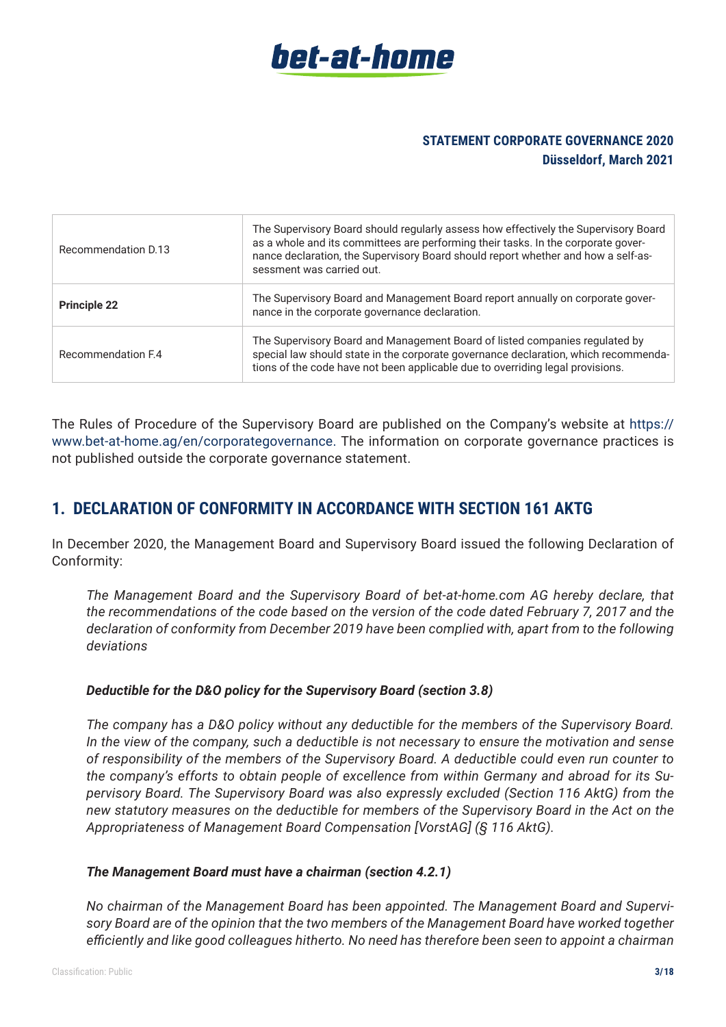

| Recommendation D.13 | The Supervisory Board should regularly assess how effectively the Supervisory Board<br>as a whole and its committees are performing their tasks. In the corporate gover-<br>nance declaration, the Supervisory Board should report whether and how a self-as-<br>sessment was carried out. |
|---------------------|--------------------------------------------------------------------------------------------------------------------------------------------------------------------------------------------------------------------------------------------------------------------------------------------|
| <b>Principle 22</b> | The Supervisory Board and Management Board report annually on corporate gover-<br>nance in the corporate governance declaration.                                                                                                                                                           |
| Recommendation F.4  | The Supervisory Board and Management Board of listed companies regulated by<br>special law should state in the corporate governance declaration, which recommenda-<br>tions of the code have not been applicable due to overriding legal provisions.                                       |

The Rules of Procedure of the Supervisory Board are published on the Company's website at https:// www.bet-at-home.ag/en/corporategovernance. The information on corporate governance practices is not published outside the corporate governance statement.

# **1. DECLARATION OF CONFORMITY IN ACCORDANCE WITH SECTION 161 AKTG**

In December 2020, the Management Board and Supervisory Board issued the following Declaration of Conformity:

 *The Management Board and the Supervisory Board of bet-at-home.com AG hereby declare, that the recommendations of the code based on the version of the code dated February 7, 2017 and the declaration of conformity from December 2019 have been complied with, apart from to the following deviations*

#### *Deductible for the D&O policy for the Supervisory Board (section 3.8)*

 *The company has a D&O policy without any deductible for the members of the Supervisory Board. In the view of the company, such a deductible is not necessary to ensure the motivation and sense of responsibility of the members of the Supervisory Board. A deductible could even run counter to the company's efforts to obtain people of excellence from within Germany and abroad for its Supervisory Board. The Supervisory Board was also expressly excluded (Section 116 AktG) from the new statutory measures on the deductible for members of the Supervisory Board in the Act on the Appropriateness of Management Board Compensation [VorstAG] (§ 116 AktG).*

#### *The Management Board must have a chairman (section 4.2.1)*

 *No chairman of the Management Board has been appointed. The Management Board and Supervisory Board are of the opinion that the two members of the Management Board have worked together efficiently and like good colleagues hitherto. No need has therefore been seen to appoint a chairman*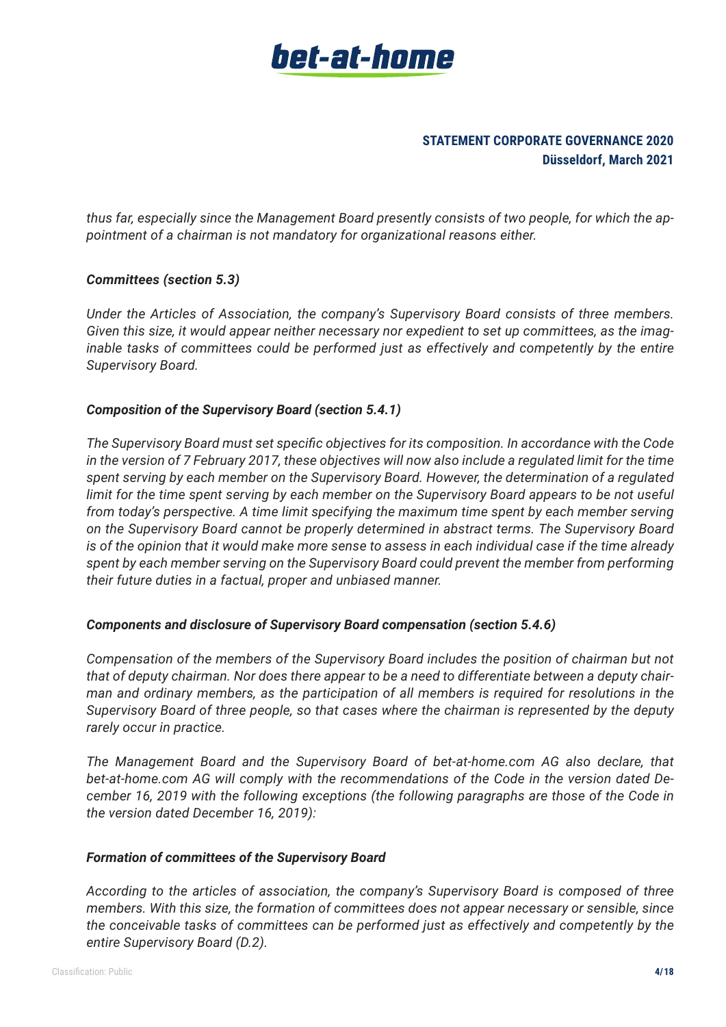

*thus far, especially since the Management Board presently consists of two people, for which the appointment of a chairman is not mandatory for organizational reasons either.*

#### *Committees (section 5.3)*

 *Under the Articles of Association, the company's Supervisory Board consists of three members. Given this size, it would appear neither necessary nor expedient to set up committees, as the imaginable tasks of committees could be performed just as effectively and competently by the entire Supervisory Board.*

#### *Composition of the Supervisory Board (section 5.4.1)*

*The Supervisory Board must set specific objectives for its composition. In accordance with the Code in the version of 7 February 2017, these objectives will now also include a regulated limit for the time spent serving by each member on the Supervisory Board. However, the determination of a regulated limit for the time spent serving by each member on the Supervisory Board appears to be not useful from today's perspective. A time limit specifying the maximum time spent by each member serving on the Supervisory Board cannot be properly determined in abstract terms. The Supervisory Board is of the opinion that it would make more sense to assess in each individual case if the time already spent by each member serving on the Supervisory Board could prevent the member from performing their future duties in a factual, proper and unbiased manner.*

#### *Components and disclosure of Supervisory Board compensation (section 5.4.6)*

 *Compensation of the members of the Supervisory Board includes the position of chairman but not that of deputy chairman. Nor does there appear to be a need to differentiate between a deputy chairman and ordinary members, as the participation of all members is required for resolutions in the Supervisory Board of three people, so that cases where the chairman is represented by the deputy rarely occur in practice.*

 *The Management Board and the Supervisory Board of bet-at-home.com AG also declare, that bet-at-home.com AG will comply with the recommendations of the Code in the version dated December 16, 2019 with the following exceptions (the following paragraphs are those of the Code in the version dated December 16, 2019):*

#### *Formation of committees of the Supervisory Board*

 *According to the articles of association, the company's Supervisory Board is composed of three members. With this size, the formation of committees does not appear necessary or sensible, since the conceivable tasks of committees can be performed just as effectively and competently by the entire Supervisory Board (D.2).*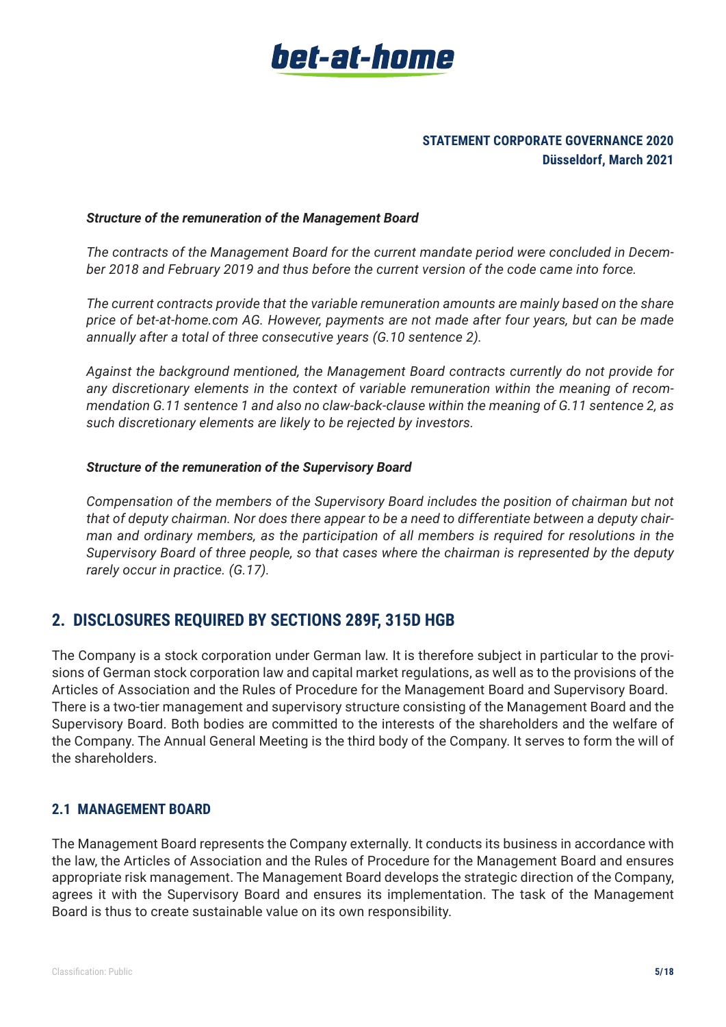

#### *Structure of the remuneration of the Management Board*

 *The contracts of the Management Board for the current mandate period were concluded in December 2018 and February 2019 and thus before the current version of the code came into force.*

 *The current contracts provide that the variable remuneration amounts are mainly based on the share price of bet-at-home.com AG. However, payments are not made after four years, but can be made annually after a total of three consecutive years (G.10 sentence 2).*

 *Against the background mentioned, the Management Board contracts currently do not provide for any discretionary elements in the context of variable remuneration within the meaning of recommendation G.11 sentence 1 and also no claw-back-clause within the meaning of G.11 sentence 2, as such discretionary elements are likely to be rejected by investors.*

#### *Structure of the remuneration of the Supervisory Board*

 *Compensation of the members of the Supervisory Board includes the position of chairman but not that of deputy chairman. Nor does there appear to be a need to differentiate between a deputy chairman and ordinary members, as the participation of all members is required for resolutions in the Supervisory Board of three people, so that cases where the chairman is represented by the deputy rarely occur in practice. (G.17).*

# **2. DISCLOSURES REQUIRED BY SECTIONS 289F, 315D HGB**

The Company is a stock corporation under German law. It is therefore subject in particular to the provisions of German stock corporation law and capital market regulations, as well as to the provisions of the Articles of Association and the Rules of Procedure for the Management Board and Supervisory Board. There is a two-tier management and supervisory structure consisting of the Management Board and the Supervisory Board. Both bodies are committed to the interests of the shareholders and the welfare of the Company. The Annual General Meeting is the third body of the Company. It serves to form the will of the shareholders.

# **2.1 MANAGEMENT BOARD**

The Management Board represents the Company externally. It conducts its business in accordance with the law, the Articles of Association and the Rules of Procedure for the Management Board and ensures appropriate risk management. The Management Board develops the strategic direction of the Company, agrees it with the Supervisory Board and ensures its implementation. The task of the Management Board is thus to create sustainable value on its own responsibility.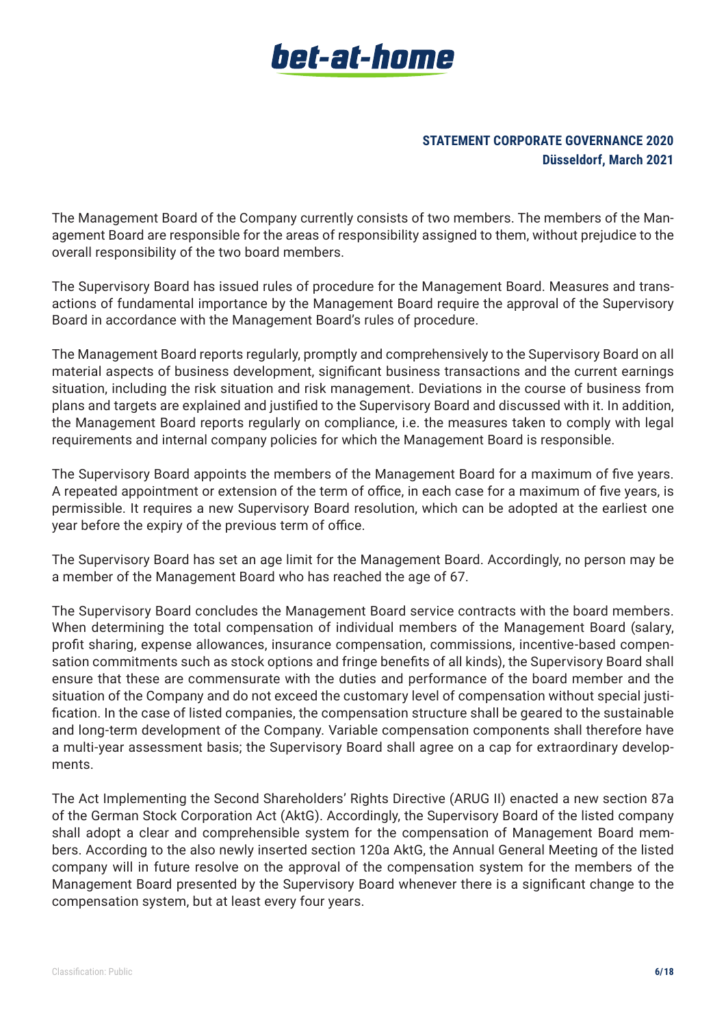

The Management Board of the Company currently consists of two members. The members of the Management Board are responsible for the areas of responsibility assigned to them, without prejudice to the overall responsibility of the two board members.

The Supervisory Board has issued rules of procedure for the Management Board. Measures and transactions of fundamental importance by the Management Board require the approval of the Supervisory Board in accordance with the Management Board's rules of procedure.

The Management Board reports regularly, promptly and comprehensively to the Supervisory Board on all material aspects of business development, significant business transactions and the current earnings situation, including the risk situation and risk management. Deviations in the course of business from plans and targets are explained and justified to the Supervisory Board and discussed with it. In addition, the Management Board reports regularly on compliance, i.e. the measures taken to comply with legal requirements and internal company policies for which the Management Board is responsible.

The Supervisory Board appoints the members of the Management Board for a maximum of five years. A repeated appointment or extension of the term of office, in each case for a maximum of five years, is permissible. It requires a new Supervisory Board resolution, which can be adopted at the earliest one year before the expiry of the previous term of office.

The Supervisory Board has set an age limit for the Management Board. Accordingly, no person may be a member of the Management Board who has reached the age of 67.

The Supervisory Board concludes the Management Board service contracts with the board members. When determining the total compensation of individual members of the Management Board (salary, profit sharing, expense allowances, insurance compensation, commissions, incentive-based compensation commitments such as stock options and fringe benefits of all kinds), the Supervisory Board shall ensure that these are commensurate with the duties and performance of the board member and the situation of the Company and do not exceed the customary level of compensation without special justification. In the case of listed companies, the compensation structure shall be geared to the sustainable and long-term development of the Company. Variable compensation components shall therefore have a multi-year assessment basis; the Supervisory Board shall agree on a cap for extraordinary developments.

The Act Implementing the Second Shareholders' Rights Directive (ARUG II) enacted a new section 87a of the German Stock Corporation Act (AktG). Accordingly, the Supervisory Board of the listed company shall adopt a clear and comprehensible system for the compensation of Management Board members. According to the also newly inserted section 120a AktG, the Annual General Meeting of the listed company will in future resolve on the approval of the compensation system for the members of the Management Board presented by the Supervisory Board whenever there is a significant change to the compensation system, but at least every four years.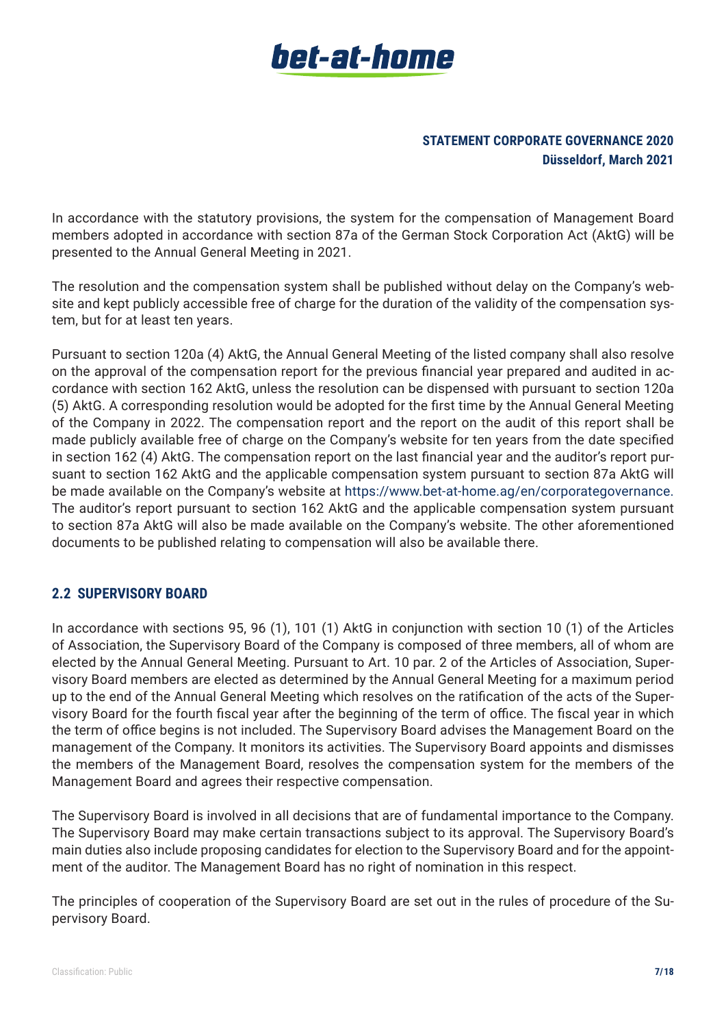# **STATEMENT CORPORATE GOVERNANCE 2020 Düsseldorf, March 2021**

In accordance with the statutory provisions, the system for the compensation of Management Board members adopted in accordance with section 87a of the German Stock Corporation Act (AktG) will be presented to the Annual General Meeting in 2021.

The resolution and the compensation system shall be published without delay on the Company's website and kept publicly accessible free of charge for the duration of the validity of the compensation system, but for at least ten years.

Pursuant to section 120a (4) AktG, the Annual General Meeting of the listed company shall also resolve on the approval of the compensation report for the previous financial year prepared and audited in accordance with section 162 AktG, unless the resolution can be dispensed with pursuant to section 120a (5) AktG. A corresponding resolution would be adopted for the first time by the Annual General Meeting of the Company in 2022. The compensation report and the report on the audit of this report shall be made publicly available free of charge on the Company's website for ten years from the date specified in section 162 (4) AktG. The compensation report on the last financial year and the auditor's report pursuant to section 162 AktG and the applicable compensation system pursuant to section 87a AktG will be made available on the Company's website at https://www.bet-at-home.ag/en/corporategovernance. The auditor's report pursuant to section 162 AktG and the applicable compensation system pursuant to section 87a AktG will also be made available on the Company's website. The other aforementioned documents to be published relating to compensation will also be available there.

# **2.2 SUPERVISORY BOARD**

In accordance with sections 95, 96 (1), 101 (1) AktG in conjunction with section 10 (1) of the Articles of Association, the Supervisory Board of the Company is composed of three members, all of whom are elected by the Annual General Meeting. Pursuant to Art. 10 par. 2 of the Articles of Association, Supervisory Board members are elected as determined by the Annual General Meeting for a maximum period up to the end of the Annual General Meeting which resolves on the ratification of the acts of the Supervisory Board for the fourth fiscal year after the beginning of the term of office. The fiscal year in which the term of office begins is not included. The Supervisory Board advises the Management Board on the management of the Company. It monitors its activities. The Supervisory Board appoints and dismisses the members of the Management Board, resolves the compensation system for the members of the Management Board and agrees their respective compensation.

The Supervisory Board is involved in all decisions that are of fundamental importance to the Company. The Supervisory Board may make certain transactions subject to its approval. The Supervisory Board's main duties also include proposing candidates for election to the Supervisory Board and for the appointment of the auditor. The Management Board has no right of nomination in this respect.

The principles of cooperation of the Supervisory Board are set out in the rules of procedure of the Supervisory Board.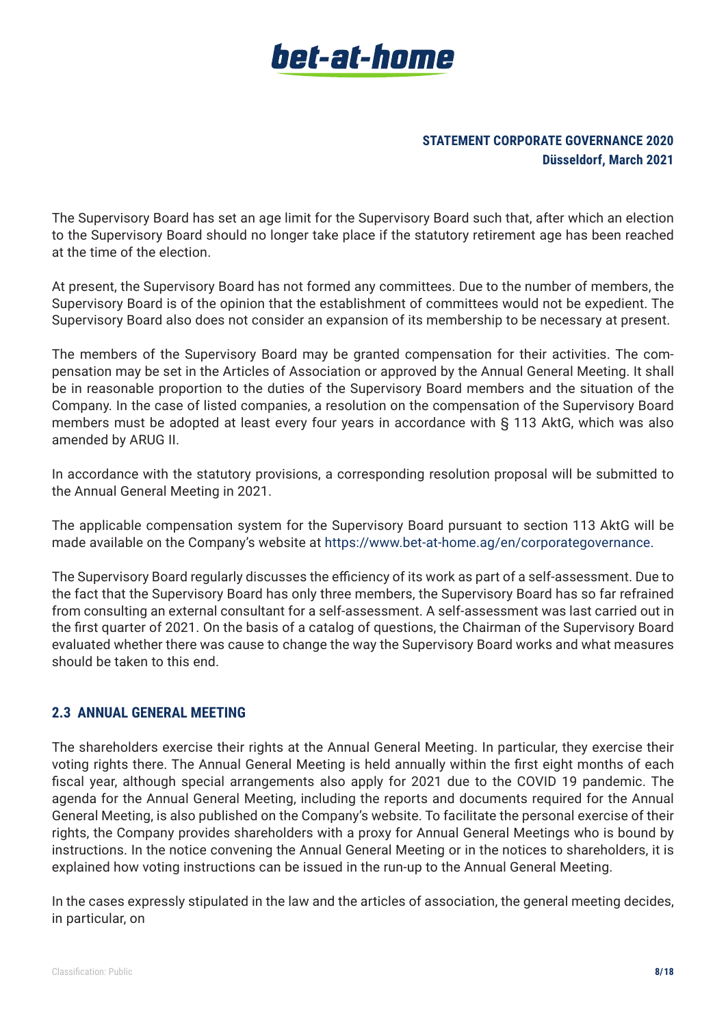# **STATEMENT CORPORATE GOVERNANCE 2020 Düsseldorf, March 2021**

The Supervisory Board has set an age limit for the Supervisory Board such that, after which an election to the Supervisory Board should no longer take place if the statutory retirement age has been reached at the time of the election.

At present, the Supervisory Board has not formed any committees. Due to the number of members, the Supervisory Board is of the opinion that the establishment of committees would not be expedient. The Supervisory Board also does not consider an expansion of its membership to be necessary at present.

The members of the Supervisory Board may be granted compensation for their activities. The compensation may be set in the Articles of Association or approved by the Annual General Meeting. It shall be in reasonable proportion to the duties of the Supervisory Board members and the situation of the Company. In the case of listed companies, a resolution on the compensation of the Supervisory Board members must be adopted at least every four years in accordance with § 113 AktG, which was also amended by ARUG II.

In accordance with the statutory provisions, a corresponding resolution proposal will be submitted to the Annual General Meeting in 2021.

The applicable compensation system for the Supervisory Board pursuant to section 113 AktG will be made available on the Company's website at https://www.bet-at-home.ag/en/corporategovernance.

The Supervisory Board regularly discusses the efficiency of its work as part of a self-assessment. Due to the fact that the Supervisory Board has only three members, the Supervisory Board has so far refrained from consulting an external consultant for a self-assessment. A self-assessment was last carried out in the first quarter of 2021. On the basis of a catalog of questions, the Chairman of the Supervisory Board evaluated whether there was cause to change the way the Supervisory Board works and what measures should be taken to this end.

# **2.3 ANNUAL GENERAL MEETING**

The shareholders exercise their rights at the Annual General Meeting. In particular, they exercise their voting rights there. The Annual General Meeting is held annually within the first eight months of each fiscal year, although special arrangements also apply for 2021 due to the COVID 19 pandemic. The agenda for the Annual General Meeting, including the reports and documents required for the Annual General Meeting, is also published on the Company's website. To facilitate the personal exercise of their rights, the Company provides shareholders with a proxy for Annual General Meetings who is bound by instructions. In the notice convening the Annual General Meeting or in the notices to shareholders, it is explained how voting instructions can be issued in the run-up to the Annual General Meeting.

In the cases expressly stipulated in the law and the articles of association, the general meeting decides, in particular, on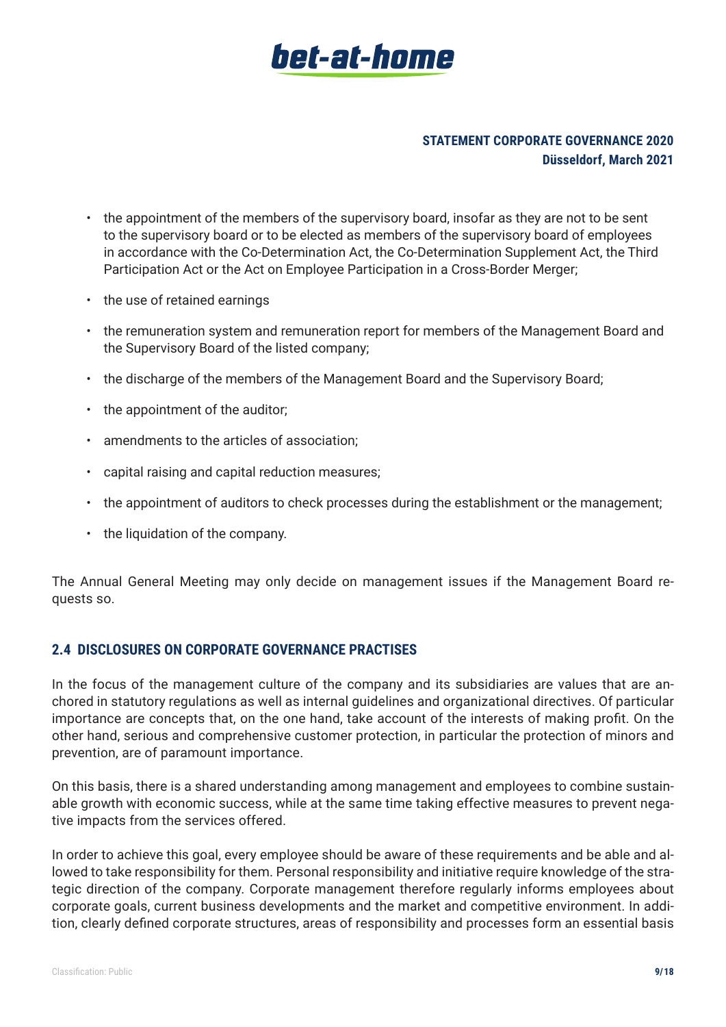

- the appointment of the members of the supervisory board, insofar as they are not to be sent to the supervisory board or to be elected as members of the supervisory board of employees in accordance with the Co-Determination Act, the Co-Determination Supplement Act, the Third Participation Act or the Act on Employee Participation in a Cross-Border Merger;
- the use of retained earnings
- the remuneration system and remuneration report for members of the Management Board and the Supervisory Board of the listed company;
- the discharge of the members of the Management Board and the Supervisory Board;
- the appointment of the auditor;
- amendments to the articles of association;
- capital raising and capital reduction measures;
- the appointment of auditors to check processes during the establishment or the management;
- the liquidation of the company.

The Annual General Meeting may only decide on management issues if the Management Board requests so.

#### **2.4 DISCLOSURES ON CORPORATE GOVERNANCE PRACTISES**

In the focus of the management culture of the company and its subsidiaries are values that are anchored in statutory regulations as well as internal guidelines and organizational directives. Of particular importance are concepts that, on the one hand, take account of the interests of making profit. On the other hand, serious and comprehensive customer protection, in particular the protection of minors and prevention, are of paramount importance.

On this basis, there is a shared understanding among management and employees to combine sustainable growth with economic success, while at the same time taking effective measures to prevent negative impacts from the services offered.

In order to achieve this goal, every employee should be aware of these requirements and be able and allowed to take responsibility for them. Personal responsibility and initiative require knowledge of the strategic direction of the company. Corporate management therefore regularly informs employees about corporate goals, current business developments and the market and competitive environment. In addition, clearly defined corporate structures, areas of responsibility and processes form an essential basis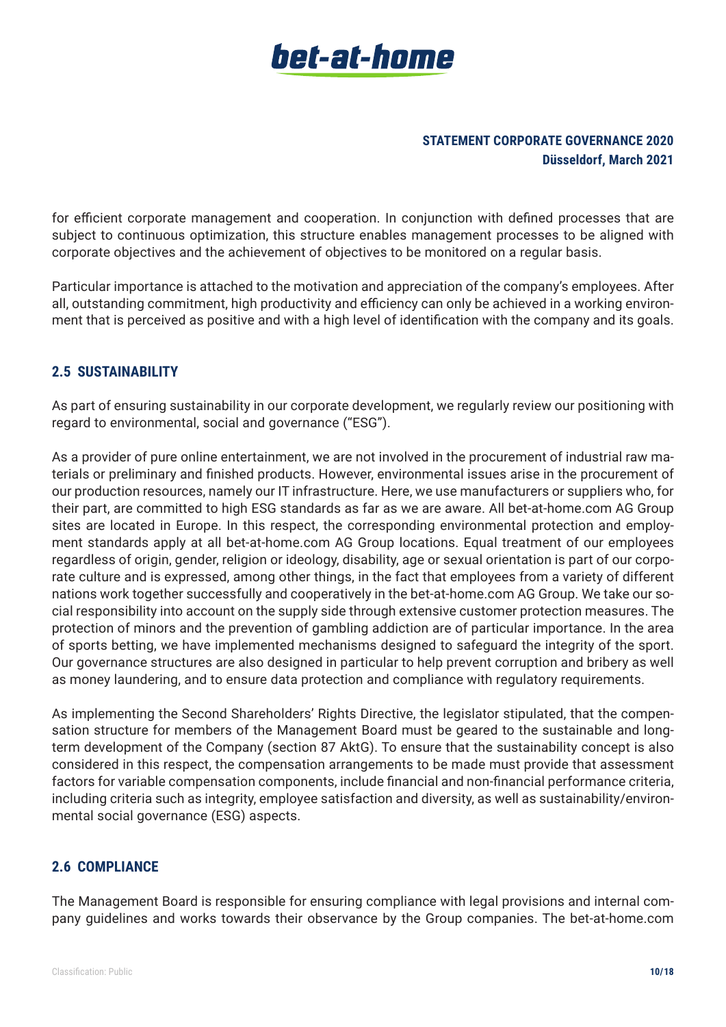

for efficient corporate management and cooperation. In conjunction with defined processes that are subject to continuous optimization, this structure enables management processes to be aligned with corporate objectives and the achievement of objectives to be monitored on a regular basis.

Particular importance is attached to the motivation and appreciation of the company's employees. After all, outstanding commitment, high productivity and efficiency can only be achieved in a working environment that is perceived as positive and with a high level of identification with the company and its goals.

# **2.5 SUSTAINABILITY**

As part of ensuring sustainability in our corporate development, we regularly review our positioning with regard to environmental, social and governance ("ESG").

As a provider of pure online entertainment, we are not involved in the procurement of industrial raw materials or preliminary and finished products. However, environmental issues arise in the procurement of our production resources, namely our IT infrastructure. Here, we use manufacturers or suppliers who, for their part, are committed to high ESG standards as far as we are aware. All bet-at-home.com AG Group sites are located in Europe. In this respect, the corresponding environmental protection and employment standards apply at all bet-at-home.com AG Group locations. Equal treatment of our employees regardless of origin, gender, religion or ideology, disability, age or sexual orientation is part of our corporate culture and is expressed, among other things, in the fact that employees from a variety of different nations work together successfully and cooperatively in the bet-at-home.com AG Group. We take our social responsibility into account on the supply side through extensive customer protection measures. The protection of minors and the prevention of gambling addiction are of particular importance. In the area of sports betting, we have implemented mechanisms designed to safeguard the integrity of the sport. Our governance structures are also designed in particular to help prevent corruption and bribery as well as money laundering, and to ensure data protection and compliance with regulatory requirements.

As implementing the Second Shareholders' Rights Directive, the legislator stipulated, that the compensation structure for members of the Management Board must be geared to the sustainable and longterm development of the Company (section 87 AktG). To ensure that the sustainability concept is also considered in this respect, the compensation arrangements to be made must provide that assessment factors for variable compensation components, include financial and non-financial performance criteria, including criteria such as integrity, employee satisfaction and diversity, as well as sustainability/environmental social governance (ESG) aspects.

# **2.6 COMPLIANCE**

The Management Board is responsible for ensuring compliance with legal provisions and internal company guidelines and works towards their observance by the Group companies. The bet-at-home.com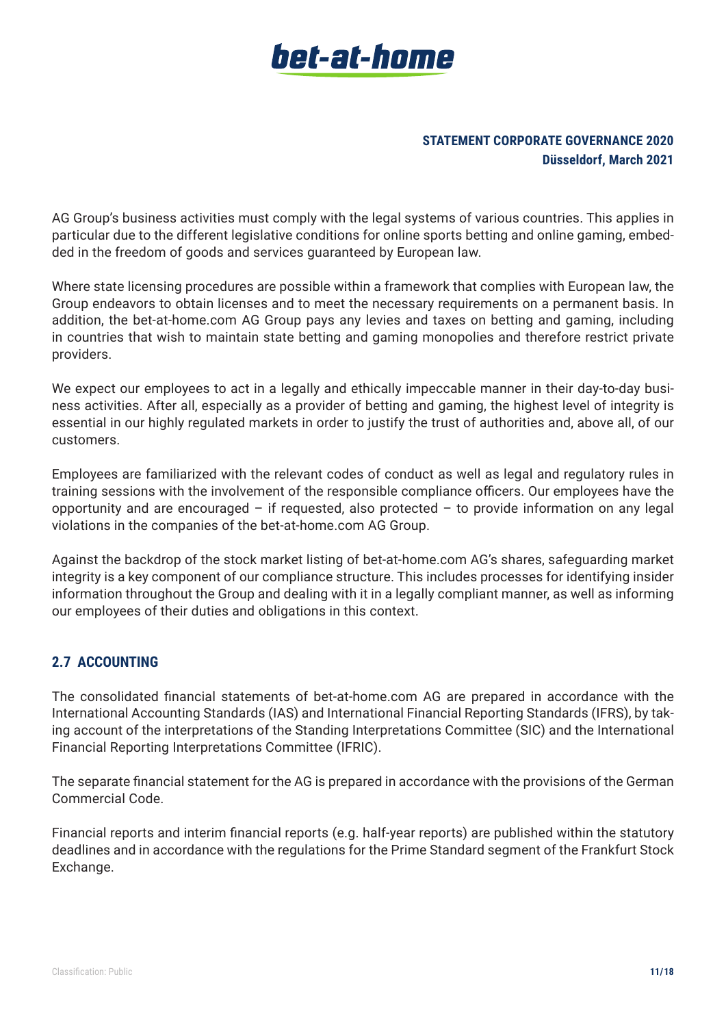

AG Group's business activities must comply with the legal systems of various countries. This applies in particular due to the different legislative conditions for online sports betting and online gaming, embedded in the freedom of goods and services guaranteed by European law.

Where state licensing procedures are possible within a framework that complies with European law, the Group endeavors to obtain licenses and to meet the necessary requirements on a permanent basis. In addition, the bet-at-home.com AG Group pays any levies and taxes on betting and gaming, including in countries that wish to maintain state betting and gaming monopolies and therefore restrict private providers.

We expect our employees to act in a legally and ethically impeccable manner in their day-to-day business activities. After all, especially as a provider of betting and gaming, the highest level of integrity is essential in our highly regulated markets in order to justify the trust of authorities and, above all, of our customers.

Employees are familiarized with the relevant codes of conduct as well as legal and regulatory rules in training sessions with the involvement of the responsible compliance officers. Our employees have the opportunity and are encouraged – if requested, also protected – to provide information on any legal violations in the companies of the bet-at-home.com AG Group.

Against the backdrop of the stock market listing of bet-at-home.com AG's shares, safeguarding market integrity is a key component of our compliance structure. This includes processes for identifying insider information throughout the Group and dealing with it in a legally compliant manner, as well as informing our employees of their duties and obligations in this context.

# **2.7 ACCOUNTING**

The consolidated financial statements of bet-at-home.com AG are prepared in accordance with the International Accounting Standards (IAS) and International Financial Reporting Standards (IFRS), by taking account of the interpretations of the Standing Interpretations Committee (SIC) and the International Financial Reporting Interpretations Committee (IFRIC).

The separate financial statement for the AG is prepared in accordance with the provisions of the German Commercial Code.

Financial reports and interim financial reports (e.g. half-year reports) are published within the statutory deadlines and in accordance with the regulations for the Prime Standard segment of the Frankfurt Stock Exchange.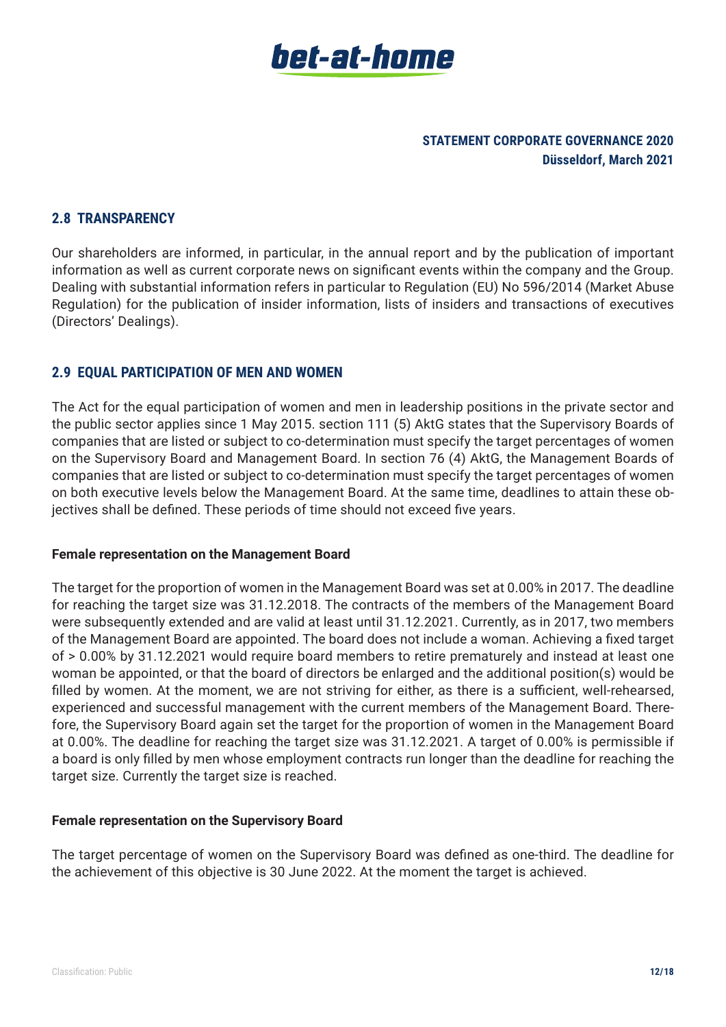

#### **2.8 TRANSPARENCY**

Our shareholders are informed, in particular, in the annual report and by the publication of important information as well as current corporate news on significant events within the company and the Group. Dealing with substantial information refers in particular to Regulation (EU) No 596/2014 (Market Abuse Regulation) for the publication of insider information, lists of insiders and transactions of executives (Directors' Dealings).

#### **2.9 EQUAL PARTICIPATION OF MEN AND WOMEN**

The Act for the equal participation of women and men in leadership positions in the private sector and the public sector applies since 1 May 2015. section 111 (5) AktG states that the Supervisory Boards of companies that are listed or subject to co-determination must specify the target percentages of women on the Supervisory Board and Management Board. In section 76 (4) AktG, the Management Boards of companies that are listed or subject to co-determination must specify the target percentages of women on both executive levels below the Management Board. At the same time, deadlines to attain these objectives shall be defined. These periods of time should not exceed five years.

#### **Female representation on the Management Board**

The target for the proportion of women in the Management Board was set at 0.00% in 2017. The deadline for reaching the target size was 31.12.2018. The contracts of the members of the Management Board were subsequently extended and are valid at least until 31.12.2021. Currently, as in 2017, two members of the Management Board are appointed. The board does not include a woman. Achieving a fixed target of > 0.00% by 31.12.2021 would require board members to retire prematurely and instead at least one woman be appointed, or that the board of directors be enlarged and the additional position(s) would be filled by women. At the moment, we are not striving for either, as there is a sufficient, well-rehearsed, experienced and successful management with the current members of the Management Board. Therefore, the Supervisory Board again set the target for the proportion of women in the Management Board at 0.00%. The deadline for reaching the target size was 31.12.2021. A target of 0.00% is permissible if a board is only filled by men whose employment contracts run longer than the deadline for reaching the target size. Currently the target size is reached.

#### **Female representation on the Supervisory Board**

The target percentage of women on the Supervisory Board was defined as one-third. The deadline for the achievement of this objective is 30 June 2022. At the moment the target is achieved.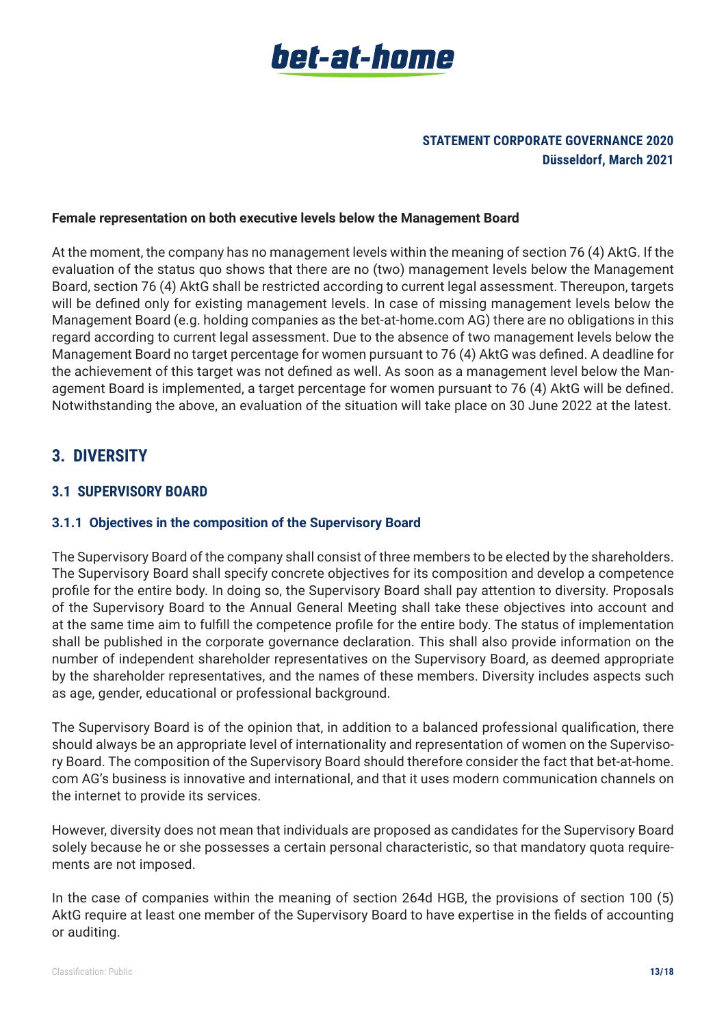

#### **Female representation on both executive levels below the Management Board**

At the moment, the company has no management levels within the meaning of section 76 (4) AktG. If the evaluation of the status quo shows that there are no (two) management levels below the Management Board, section 76 (4) AktG shall be restricted according to current legal assessment. Thereupon, targets will be defined only for existing management levels. In case of missing management levels below the Management Board (e.g. holding companies as the bet-at-home.com AG) there are no obligations in this regard according to current legal assessment. Due to the absence of two management levels below the Management Board no target percentage for women pursuant to 76 (4) AktG was defined. A deadline for the achievement of this target was not defined as well. As soon as a management level below the Management Board is implemented, a target percentage for women pursuant to 76 (4) AktG will be defined. Notwithstanding the above, an evaluation of the situation will take place on 30 June 2022 at the latest.

# **3. DIVERSITY**

#### **3.1 SUPERVISORY BOARD**

#### **3.1.1 Objectives in the composition of the Supervisory Board**

The Supervisory Board of the company shall consist of three members to be elected by the shareholders. The Supervisory Board shall specify concrete objectives for its composition and develop a competence profile for the entire body. In doing so, the Supervisory Board shall pay attention to diversity. Proposals of the Supervisory Board to the Annual General Meeting shall take these objectives into account and at the same time aim to fulfill the competence profile for the entire body. The status of implementation shall be published in the corporate governance declaration. This shall also provide information on the number of independent shareholder representatives on the Supervisory Board, as deemed appropriate by the shareholder representatives, and the names of these members. Diversity includes aspects such as age, gender, educational or professional background.

The Supervisory Board is of the opinion that, in addition to a balanced professional qualification, there should always be an appropriate level of internationality and representation of women on the Supervisory Board. The composition of the Supervisory Board should therefore consider the fact that bet-at-home. com AG's business is innovative and international, and that it uses modern communication channels on the internet to provide its services.

However, diversity does not mean that individuals are proposed as candidates for the Supervisory Board solely because he or she possesses a certain personal characteristic, so that mandatory quota requirements are not imposed.

In the case of companies within the meaning of section 264d HGB, the provisions of section 100 (5) AktG require at least one member of the Supervisory Board to have expertise in the fields of accounting or auditing.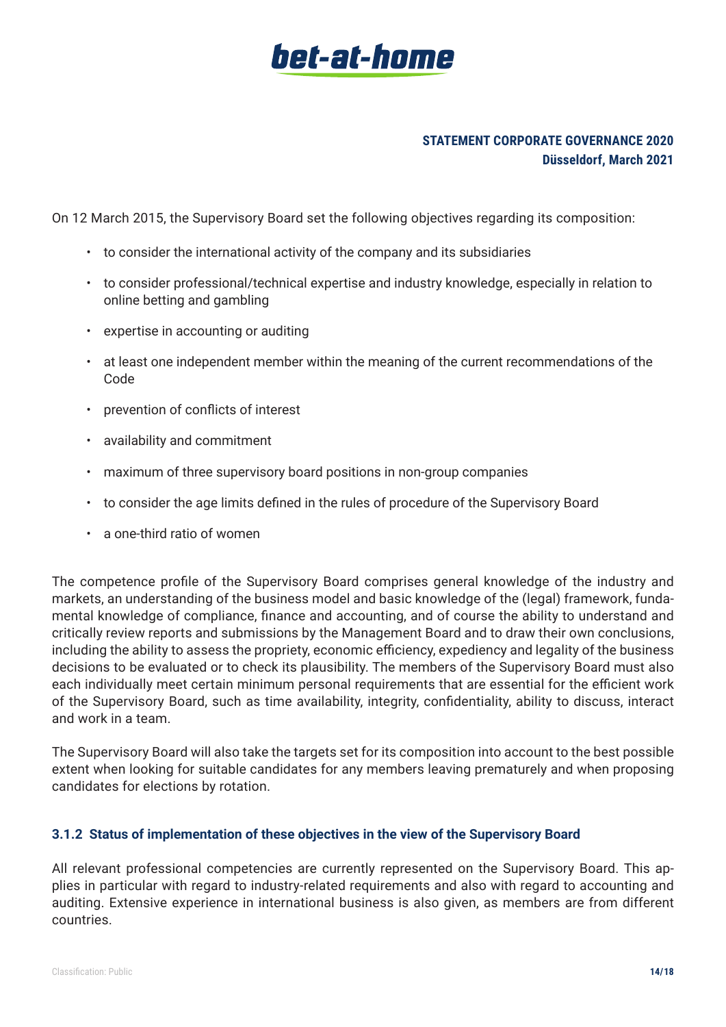# **STATEMENT CORPORATE GOVERNANCE 2020 Düsseldorf, March 2021**

On 12 March 2015, the Supervisory Board set the following objectives regarding its composition:

- to consider the international activity of the company and its subsidiaries
- to consider professional/technical expertise and industry knowledge, especially in relation to online betting and gambling
- expertise in accounting or auditing
- at least one independent member within the meaning of the current recommendations of the Code
- prevention of conflicts of interest
- availability and commitment
- maximum of three supervisory board positions in non-group companies
- to consider the age limits defined in the rules of procedure of the Supervisory Board
- a one-third ratio of women

The competence profile of the Supervisory Board comprises general knowledge of the industry and markets, an understanding of the business model and basic knowledge of the (legal) framework, fundamental knowledge of compliance, finance and accounting, and of course the ability to understand and critically review reports and submissions by the Management Board and to draw their own conclusions, including the ability to assess the propriety, economic efficiency, expediency and legality of the business decisions to be evaluated or to check its plausibility. The members of the Supervisory Board must also each individually meet certain minimum personal requirements that are essential for the efficient work of the Supervisory Board, such as time availability, integrity, confidentiality, ability to discuss, interact and work in a team.

The Supervisory Board will also take the targets set for its composition into account to the best possible extent when looking for suitable candidates for any members leaving prematurely and when proposing candidates for elections by rotation.

#### **3.1.2 Status of implementation of these objectives in the view of the Supervisory Board**

All relevant professional competencies are currently represented on the Supervisory Board. This applies in particular with regard to industry-related requirements and also with regard to accounting and auditing. Extensive experience in international business is also given, as members are from different countries.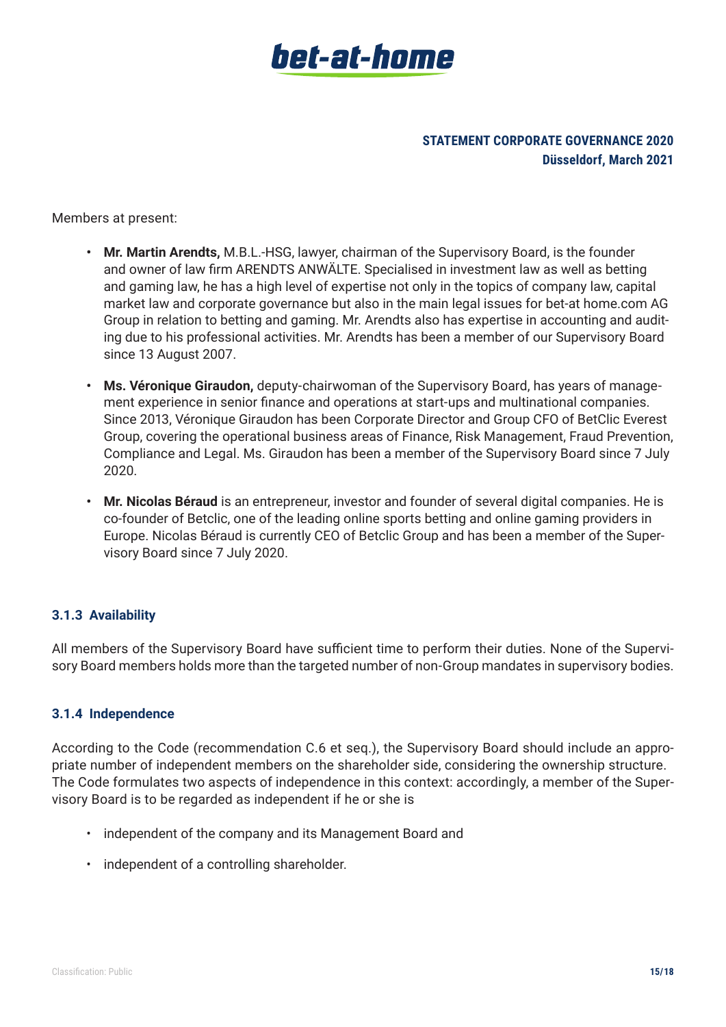

Members at present:

- **• Mr. Martin Arendts,** M.B.L.-HSG, lawyer, chairman of the Supervisory Board, is the founder and owner of law firm ARENDTS ANWÄLTE. Specialised in investment law as well as betting and gaming law, he has a high level of expertise not only in the topics of company law, capital market law and corporate governance but also in the main legal issues for bet-at home.com AG Group in relation to betting and gaming. Mr. Arendts also has expertise in accounting and auditing due to his professional activities. Mr. Arendts has been a member of our Supervisory Board since 13 August 2007.
- **• Ms. Véronique Giraudon,** deputy-chairwoman of the Supervisory Board, has years of management experience in senior finance and operations at start-ups and multinational companies. Since 2013, Véronique Giraudon has been Corporate Director and Group CFO of BetClic Everest Group, covering the operational business areas of Finance, Risk Management, Fraud Prevention, Compliance and Legal. Ms. Giraudon has been a member of the Supervisory Board since 7 July 2020.
- **• Mr. Nicolas Béraud** is an entrepreneur, investor and founder of several digital companies. He is co-founder of Betclic, one of the leading online sports betting and online gaming providers in Europe. Nicolas Béraud is currently CEO of Betclic Group and has been a member of the Supervisory Board since 7 July 2020.

# **3.1.3 Availability**

All members of the Supervisory Board have sufficient time to perform their duties. None of the Supervisory Board members holds more than the targeted number of non-Group mandates in supervisory bodies.

#### **3.1.4 Independence**

According to the Code (recommendation C.6 et seq.), the Supervisory Board should include an appropriate number of independent members on the shareholder side, considering the ownership structure. The Code formulates two aspects of independence in this context: accordingly, a member of the Supervisory Board is to be regarded as independent if he or she is

- independent of the company and its Management Board and
- independent of a controlling shareholder.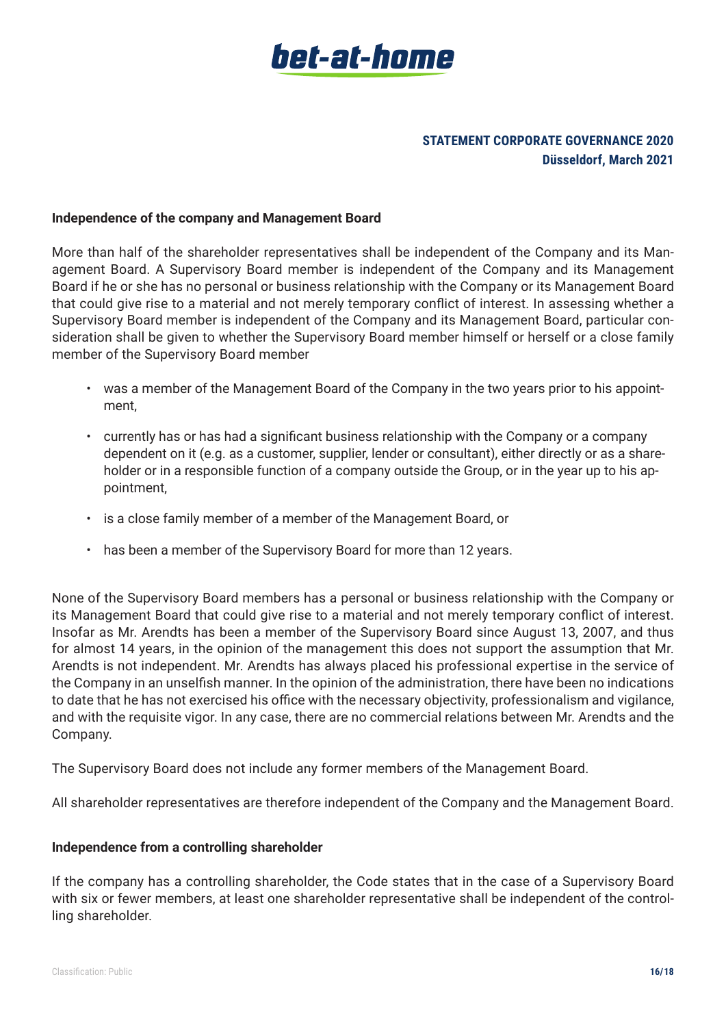

#### **Independence of the company and Management Board**

More than half of the shareholder representatives shall be independent of the Company and its Management Board. A Supervisory Board member is independent of the Company and its Management Board if he or she has no personal or business relationship with the Company or its Management Board that could give rise to a material and not merely temporary conflict of interest. In assessing whether a Supervisory Board member is independent of the Company and its Management Board, particular consideration shall be given to whether the Supervisory Board member himself or herself or a close family member of the Supervisory Board member

- was a member of the Management Board of the Company in the two years prior to his appointment,
- currently has or has had a significant business relationship with the Company or a company dependent on it (e.g. as a customer, supplier, lender or consultant), either directly or as a shareholder or in a responsible function of a company outside the Group, or in the year up to his appointment,
- is a close family member of a member of the Management Board, or
- has been a member of the Supervisory Board for more than 12 years.

None of the Supervisory Board members has a personal or business relationship with the Company or its Management Board that could give rise to a material and not merely temporary conflict of interest. Insofar as Mr. Arendts has been a member of the Supervisory Board since August 13, 2007, and thus for almost 14 years, in the opinion of the management this does not support the assumption that Mr. Arendts is not independent. Mr. Arendts has always placed his professional expertise in the service of the Company in an unselfish manner. In the opinion of the administration, there have been no indications to date that he has not exercised his office with the necessary objectivity, professionalism and vigilance, and with the requisite vigor. In any case, there are no commercial relations between Mr. Arendts and the Company.

The Supervisory Board does not include any former members of the Management Board.

All shareholder representatives are therefore independent of the Company and the Management Board.

#### **Independence from a controlling shareholder**

If the company has a controlling shareholder, the Code states that in the case of a Supervisory Board with six or fewer members, at least one shareholder representative shall be independent of the controlling shareholder.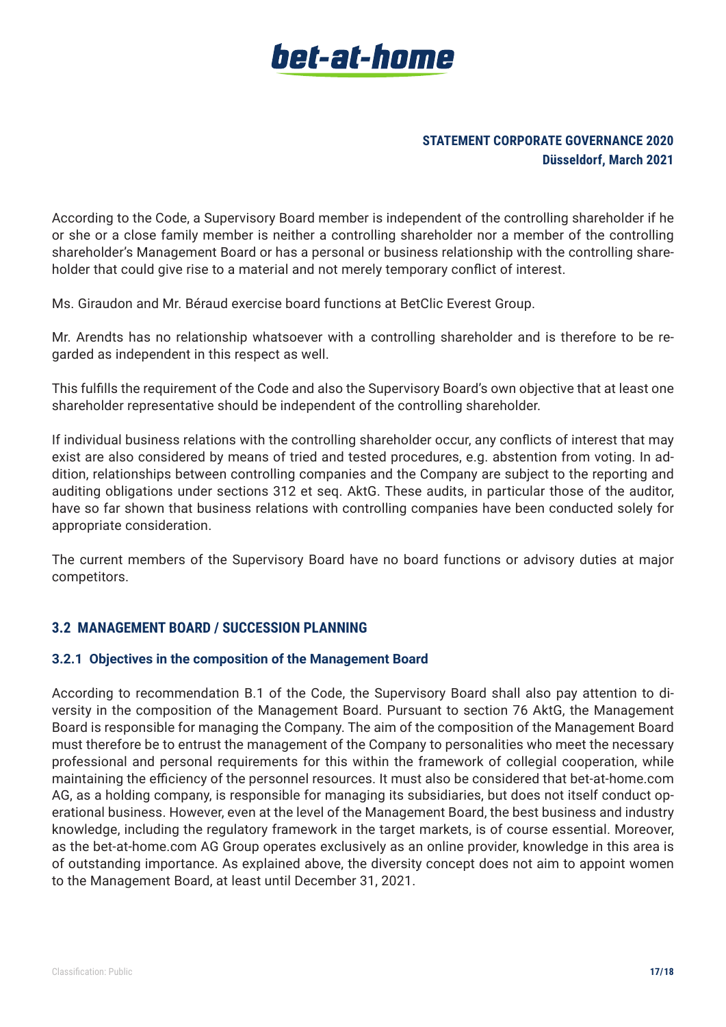

According to the Code, a Supervisory Board member is independent of the controlling shareholder if he or she or a close family member is neither a controlling shareholder nor a member of the controlling shareholder's Management Board or has a personal or business relationship with the controlling shareholder that could give rise to a material and not merely temporary conflict of interest.

Ms. Giraudon and Mr. Béraud exercise board functions at BetClic Everest Group.

Mr. Arendts has no relationship whatsoever with a controlling shareholder and is therefore to be regarded as independent in this respect as well.

This fulfills the requirement of the Code and also the Supervisory Board's own objective that at least one shareholder representative should be independent of the controlling shareholder.

If individual business relations with the controlling shareholder occur, any conflicts of interest that may exist are also considered by means of tried and tested procedures, e.g. abstention from voting. In addition, relationships between controlling companies and the Company are subject to the reporting and auditing obligations under sections 312 et seq. AktG. These audits, in particular those of the auditor, have so far shown that business relations with controlling companies have been conducted solely for appropriate consideration.

The current members of the Supervisory Board have no board functions or advisory duties at major competitors.

# **3.2 MANAGEMENT BOARD / SUCCESSION PLANNING**

#### **3.2.1 Objectives in the composition of the Management Board**

According to recommendation B.1 of the Code, the Supervisory Board shall also pay attention to diversity in the composition of the Management Board. Pursuant to section 76 AktG, the Management Board is responsible for managing the Company. The aim of the composition of the Management Board must therefore be to entrust the management of the Company to personalities who meet the necessary professional and personal requirements for this within the framework of collegial cooperation, while maintaining the efficiency of the personnel resources. It must also be considered that bet-at-home.com AG, as a holding company, is responsible for managing its subsidiaries, but does not itself conduct operational business. However, even at the level of the Management Board, the best business and industry knowledge, including the regulatory framework in the target markets, is of course essential. Moreover, as the bet-at-home.com AG Group operates exclusively as an online provider, knowledge in this area is of outstanding importance. As explained above, the diversity concept does not aim to appoint women to the Management Board, at least until December 31, 2021.